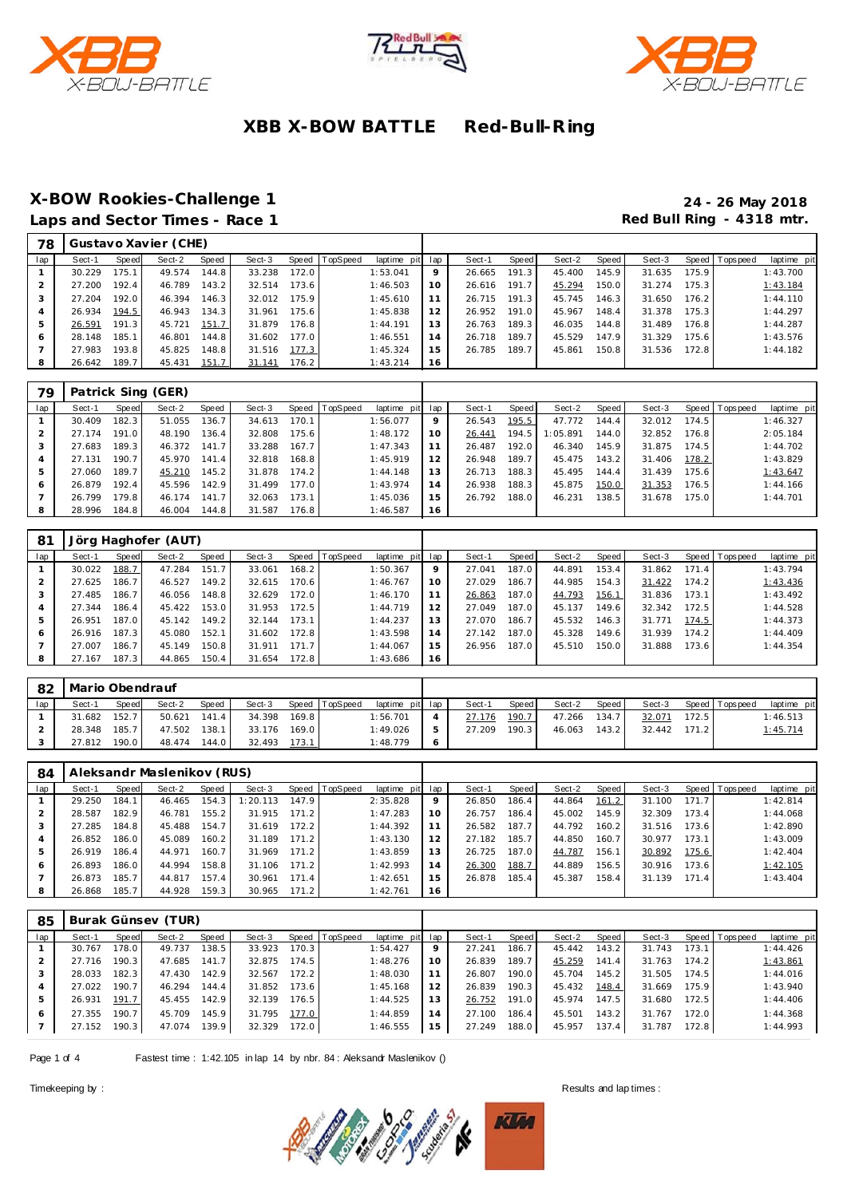





# **X-BOW Rookies-Challenge 1 24 - 26 May 2018**

Red Bull Ring - 4318 mtr.

| Laps and Sector Times - Race 1 |  |  |  |
|--------------------------------|--|--|--|
|--------------------------------|--|--|--|

| Sect-1 | Speed | Sect-2 | Speed | Sect-3 |       |                  |    | Sect-1          | Speed | Sect-2 | Speed | Sect-3 |       | laptime pit     |
|--------|-------|--------|-------|--------|-------|------------------|----|-----------------|-------|--------|-------|--------|-------|-----------------|
| 30.229 | 175.1 | 49.574 | 144.8 | 33.238 | 172.0 | 1:53.041         | 9  | 26.665          | 191.3 | 45.400 | 145.9 | 31.635 | 175.9 | 1:43.700        |
| 27.200 | 192.4 | 46.789 | 143.2 | 32.514 | 173.6 | 1:46.503         | 10 | 26.616          | 191.7 | 45.294 | 150.0 | 31.274 | 175.3 | 1:43.184        |
| 27.204 | 192.0 | 46.394 | 146.3 | 32.012 | 175.9 | 1:45.610         | 11 | 26.715          | 191.3 | 45.745 | 146.3 | 31.650 | 176.2 | 1:44.110        |
| 26.934 | 194.5 | 46.943 | 134.3 | 31.961 | 175.6 | 1:45.838         | 12 | 26.952          | 191.0 | 45.967 | 148.4 | 31.378 | 175.3 | 1:44.297        |
| 26.591 | 191.3 | 45.721 | 151.7 | 31.879 | 176.8 | 1:44.191         | 13 | 26.763          | 189.3 | 46.035 | 144.8 | 31.489 | 176.8 | 1:44.287        |
| 28.148 | 185.1 | 46.801 | 144.8 | 31.602 | 177.0 | 1:46.551         | 14 | 26.718          | 189.7 | 45.529 | 147.9 | 31.329 | 175.6 | 1:43.576        |
| 27.983 | 193.8 | 45.825 | 148.8 | 31.516 | 177.3 | 1:45.324         | 15 | 26.785          | 189.7 | 45.861 | 150.8 | 31.536 | 172.8 | 1:44.182        |
| 26.642 | 189.7 | 45.431 | 151.7 | 31.141 | 176.2 | 1:43.214         | 16 |                 |       |        |       |        |       |                 |
|        |       |        |       |        |       | Speed   TopSpeed |    | laptime pit lap |       |        |       |        |       | Speed Tops peed |

| 79  |        |       | Patrick Sing (GER) |       |        |       |                |             |     |        |       |          |       |        |       |                 |             |
|-----|--------|-------|--------------------|-------|--------|-------|----------------|-------------|-----|--------|-------|----------|-------|--------|-------|-----------------|-------------|
| lap | Sect-1 | Speed | Sect-2             | Speed | Sect-3 |       | Speed TopSpeed | laptime pit | lap | Sect-1 | Speed | Sect-2   | Speed | Sect-3 |       | Speed Tops peed | laptime pit |
|     | 30.409 | 182.3 | 51.055             | 136.7 | 34.613 | 170.1 |                | 1:56.077    | 9   | 26.543 | 195.5 | 47.772   | 144.4 | 32.012 | 174.5 |                 | 1:46.327    |
|     | 27.174 | 191.0 | 48.190             | 136.4 | 32.808 | 175.6 |                | 1:48.172    | 10  | 26.441 | 194.5 | 1:05.891 | 144.0 | 32.852 | 176.8 |                 | 2:05.184    |
|     | 27.683 | 189.3 | 46.372             | 141.7 | 33.288 | 167.7 |                | 1:47.343    | 11  | 26.487 | 192.0 | 46.340   | 145.9 | 31.875 | 174.5 |                 | 1:44.702    |
|     | 27.131 | 190.7 | 45.970             | 141.4 | 32.818 | 168.8 |                | 1:45.919    | 12  | 26.948 | 189.7 | 45.475   | 143.2 | 31.406 | 178.2 |                 | 1:43.829    |
| 5   | 27.060 | 189.7 | 45.210             | 145.2 | 31.878 | 174.2 |                | 1:44.148    | 13  | 26.713 | 188.3 | 45.495   | 144.4 | 31.439 | 175.6 |                 | 1:43.647    |
| 6   | 26.879 | 192.4 | 45.596             | 142.9 | 31.499 | 177.0 |                | 1:43.974    | 14  | 26.938 | 188.3 | 45.875   | 150.0 | 31.353 | 176.5 |                 | 1:44.166    |
|     | 26.799 | 79.8  | 46.174             | 141.7 | 32.063 | 173.1 |                | 1:45.036    | 15  | 26.792 | 188.0 | 46.231   | 138.5 | 31.678 | 175.0 |                 | 1:44.701    |
| 8   | 28.996 | 184.8 | 46.004             | 144.8 | 31.587 | 176.8 |                | 1:46.587    | 16  |        |       |          |       |        |       |                 |             |

| 81  |        |        | Jörg Haghofer (AUT) |       |        |       |                |                 |    |        |       |        |       |        |       |                |             |
|-----|--------|--------|---------------------|-------|--------|-------|----------------|-----------------|----|--------|-------|--------|-------|--------|-------|----------------|-------------|
| lap | Sect-1 | Speed  | Sect-2              | Speed | Sect-3 |       | Speed TopSpeed | laptime pit lap |    | Sect-1 | Speed | Sect-2 | Speed | Sect-3 |       | Speed Topspeed | laptime pit |
|     | 30.022 | 188.7  | 47.284              | 151.7 | 33.061 | 168.2 |                | 1:50.367        | 9  | 27.041 | 187.0 | 44.891 | 153.4 | 31.862 | 171.4 |                | 1:43.794    |
|     | 27.625 | 186.7  | 46.527              | 149.2 | 32.615 | 170.6 |                | 1:46.767        | 10 | 27.029 | 186.7 | 44.985 | 154.3 | 31.422 | 174.2 |                | 1:43.436    |
| 3   | 27.485 | 186.7  | 46.056              | 148.8 | 32.629 | 172.0 |                | 1:46.170        | 11 | 26.863 | 187.0 | 44.793 | 156.1 | 31.836 | 173.1 |                | 1:43.492    |
| 4   | 27.344 | 186.4  | 45.422              | 153.0 | 31.953 | 172.5 |                | 1:44.719        | 12 | 27.049 | 187.0 | 45.137 | 149.6 | 32.342 | 172.5 |                | 1:44.528    |
| 5   | 26.951 | 187.0  | 45.142              | 149.2 | 32.144 | 173.1 |                | 1:44.237        | 13 | 27.070 | 186.7 | 45.532 | 146.3 | 31.771 | 174.5 |                | 1:44.373    |
| 6   | 26.916 | 187.3. | 45.080              | 152.1 | 31.602 | 172.8 |                | 1:43.598        | 14 | 27.142 | 187.0 | 45.328 | 149.6 | 31.939 | 174.2 |                | 1:44.409    |
|     | 27.007 | 186.7  | 45.149              | 150.8 | 31.911 | 171.7 |                | 1:44.067        | 15 | 26.956 | 187.0 | 45.510 | 150.0 | 31.888 | 173.6 |                | 1:44.354    |
| 8   | 27.167 | 187.3  | 44.865              | 150.4 | 31.654 | 172.8 |                | 1:43.686        | 16 |        |       |        |       |        |       |                |             |

| 82  | Mario Obendrauf |              |        |              |        |       |                |                 |   |        |       |        |       |        |       |                   |             |
|-----|-----------------|--------------|--------|--------------|--------|-------|----------------|-----------------|---|--------|-------|--------|-------|--------|-------|-------------------|-------------|
| lap | Sect-1          | <b>Speed</b> | Sect-2 | <b>Speed</b> | Sect-3 |       | Speed TopSpeed | laptime pit lap |   | Sect-1 | Speed | Sect-2 | Speed | Sect-3 |       | Speed   Tops peed | laptime pit |
|     | 31.682          | 152.7        | 50.621 | 141.4        | 34.398 | 169.8 |                | 1:56.701        |   | 27.176 | 190.7 | 47.266 | 134.7 | 32.071 | 172.5 |                   | 1:46.513    |
|     | 28.348          | 185.7        | 47.502 | 138.1        | 33.176 | 169.0 |                | 1:49.026        | ь | 27.209 | 190.3 | 46.063 | 143.2 | 32.442 | 171.2 |                   | 1:45.714    |
|     | 27.812          | 190.0        | 48.474 | 144.0        | 32.493 | 173.1 |                | 1:48.779        |   |        |       |        |       |        |       |                   |             |

| 84  |        |       | Aleksandr Maslenikov (RUS) |       |          |       |                |                 |    |        |       |        |        |        |       |                |             |
|-----|--------|-------|----------------------------|-------|----------|-------|----------------|-----------------|----|--------|-------|--------|--------|--------|-------|----------------|-------------|
| lap | Sect-1 | Speed | Sect-2                     | Speed | Sect-3   |       | Speed TopSpeed | laptime pit lap |    | Sect-1 | Speed | Sect-2 | Speed  | Sect-3 |       | Speed Topspeed | laptime pit |
|     | 29.250 | 184.1 | 46.465                     | 154.3 | 1:20.113 | 147.9 |                | 2:35.828        | 9  | 26.850 | 186.4 | 44.864 | 161.2  | 31.100 | 171.7 |                | 1:42.814    |
|     | 28.587 | 182.9 | 46.781                     | 155.2 | 31.915   | 171.2 |                | 1:47.283        | 10 | 26.757 | 186.4 | 45.002 | 145.9  | 32.309 | 173.4 |                | 1:44.068    |
|     | 27.285 | 184.8 | 45.488                     | 154.7 | 31.619   | 172.2 |                | 1:44.392        |    | 26.582 | 187.7 | 44.792 | 160.21 | 31.516 | 173.6 |                | 1:42.890    |
|     | 26.852 | 186.0 | 45.089                     | 160.2 | 31.189   | 171.2 |                | 1:43.130        |    | 27.182 | 185.7 | 44.850 | 160.7  | 30.977 | 173.1 |                | 1:43.009    |
|     | 26.919 | 186.4 | 44.971                     | 160.7 | 31.969   | 171.2 |                | 1:43.859        | 13 | 26.725 | 187.0 | 44.787 | 156.1  | 30.892 | 175.6 |                | 1:42.404    |
| 6   | 26.893 | 186.0 | 44.994                     | 158.8 | 31.106   | 171.2 |                | 1:42.993        | 14 | 26.300 | 188.7 | 44.889 | 156.5  | 30.916 | 173.6 |                | 1:42.105    |
|     | 26.873 | 185.7 | 44.817                     | 157.4 | 30.961   | 171.4 |                | 1:42.651        | 15 | 26.878 | 185.4 | 45.387 | 158.4  | 31.139 | 171.4 |                | 1:43.404    |
|     | 26.868 | 185.7 | 44.928                     | 159.3 | 30.965   | 171.2 |                | 1:42.761        | 16 |        |       |        |        |        |       |                |             |

| 85  |        |       | Burak Günsev (TUR) |       |        |       |                |                 |    |        |       |        |       |        |       |                 |             |
|-----|--------|-------|--------------------|-------|--------|-------|----------------|-----------------|----|--------|-------|--------|-------|--------|-------|-----------------|-------------|
| lap | Sect-1 | Speed | Sect-2             | Speed | Sect-3 |       | Speed TopSpeed | laptime pit lap |    | Sect-1 | Speed | Sect-2 | Speed | Sect-3 |       | Speed Tops peed | laptime pit |
|     | 30.767 | 178.0 | 49.737             | 138.5 | 33.923 | 170.3 |                | 1:54.427        | 9  | 27.241 | 186.7 | 45.442 | 143.2 | 31.743 | 173.1 |                 | 1:44.426    |
|     | 27.716 | 190.3 | 47.685             | 141.7 | 32.875 | 174.5 |                | 1:48.276        | 10 | 26.839 | 189.7 | 45.259 | 141.4 | 31.763 | 174.2 |                 | 1:43.861    |
|     | 28.033 | 182.3 | 47.430             | 142.9 | 32.567 | 172.2 |                | 1:48.030        |    | 26.807 | 190.0 | 45.704 | 145.2 | 31.505 | 174.5 |                 | 1:44.016    |
|     | 27.022 | 190.7 | 46.294             | 144.4 | 31.852 | 173.6 |                | 1:45.168        | 12 | 26.839 | 190.3 | 45.432 | 148.4 | 31.669 | 175.9 |                 | 1:43.940    |
| .5  | 26.931 | 191.7 | 45.455             | 142.9 | 32.139 | 176.5 |                | 1:44.525        | 13 | 26.752 | 191.0 | 45.974 | 147.5 | 31.680 | 172.5 |                 | 1:44.406    |
| 6   | 27.355 | 190.7 | 45.709             | 145.9 | 31.795 | 177.0 |                | 1:44.859        | 14 | 27.100 | 186.4 | 45.501 | 143.2 | 31.767 | 172.0 |                 | 1:44.368    |
|     | 27.152 | 190.3 | 47.074             | 139.9 | 32.329 | 172.0 |                | 1:46.555        | 15 | 27.249 | 188.0 | 45.957 | 137.4 | 31.787 | 172.8 |                 | 1:44.993    |

Page 1 of 4 Fastest time : 1:42.105 in lap 14 by nbr. 84 : Aleksandr Maslenikov ()

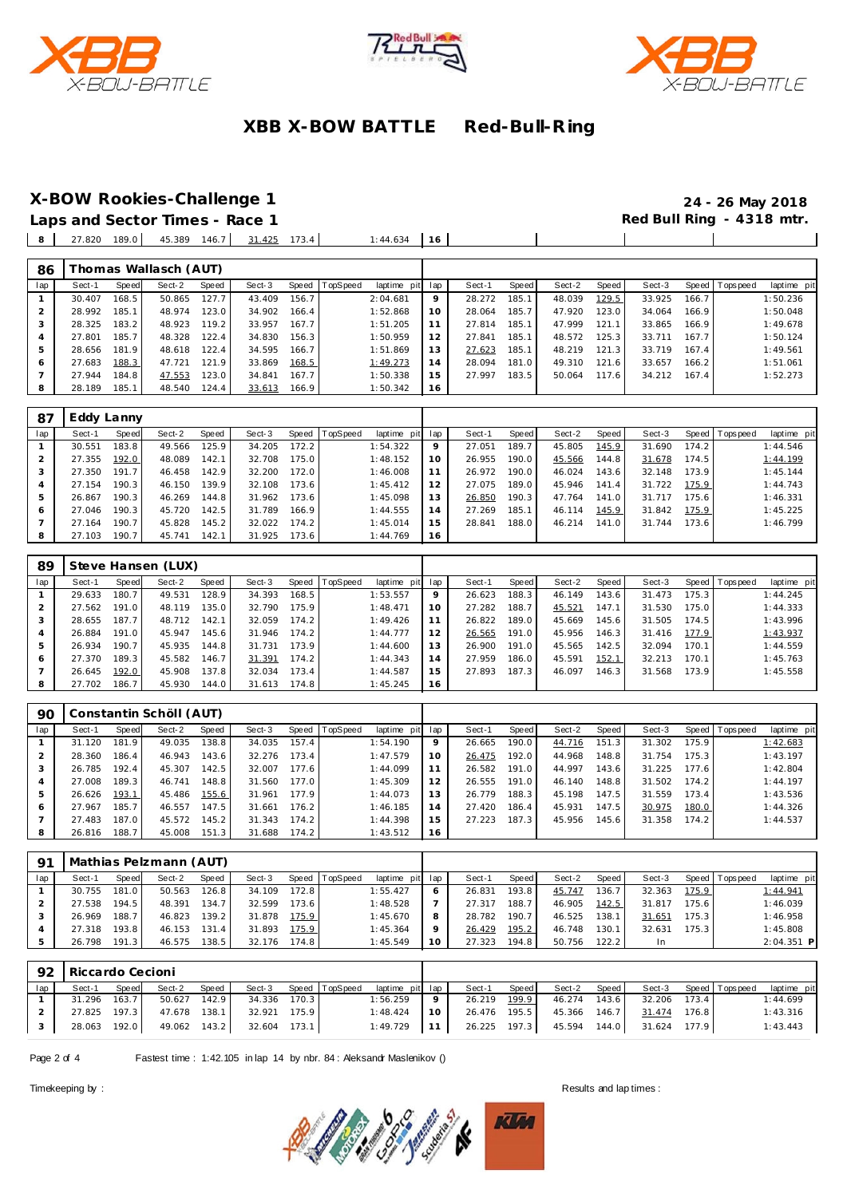





**X-BOW Rookies-Challenge 1 24 - 26 May 2018**

 $\overline{\phantom{a}}$ 

 $\overline{\phantom{a}}$ 

Laps and Sector Times - Race 1 27.820 189.0 45.389 146.7 31.425 173.4 1:44.634 16

| 86  |        |       | homas Wallasch (AUT) |       |        |       |                |             |     |        |       |        |       |        |       |                 |             |
|-----|--------|-------|----------------------|-------|--------|-------|----------------|-------------|-----|--------|-------|--------|-------|--------|-------|-----------------|-------------|
| lap | Sect-1 | Speed | Sect-2               | Speed | Sect-3 |       | Speed TopSpeed | laptime pit | lap | Sect-1 | Speed | Sect-2 | Speed | Sect-3 |       | Speed Tops peed | laptime pit |
|     | 30.407 | 168.5 | 50.865               | 127.7 | 43.409 | 156.7 |                | 2:04.681    | 9   | 28.272 | 185.1 | 48.039 | 129.5 | 33.925 | 166.7 |                 | 1:50.236    |
| 2   | 28.992 | 185.1 | 48.974               | 123.0 | 34.902 | 166.4 |                | 1:52.868    | 10  | 28.064 | 185.7 | 47.920 | 123.0 | 34.064 | 166.9 |                 | 1:50.048    |
| 3   | 28.325 | 183.2 | 48.923               | 119.2 | 33.957 | 167.7 |                | 1:51.205    |     | 27.814 | 185.1 | 47.999 | 121.1 | 33.865 | 166.9 |                 | 1:49.678    |
| 4   | 27.801 | 185.7 | 48.328               | 122.4 | 34.830 | 156.3 |                | 1:50.959    | 12  | 27.841 | 185.1 | 48.572 | 125.3 | 33.711 | 167.7 |                 | 1:50.124    |
| 5   | 28.656 | 181.9 | 48.618               | 122.4 | 34.595 | 166.7 |                | 1:51.869    | 13  | 27.623 | 185.1 | 48.219 | 121.3 | 33.719 | 167.4 |                 | 1:49.561    |
| 6   | 27.683 | 188.3 | 47.721               | 121.9 | 33.869 | 168.5 |                | 1:49.273    | 14  | 28.094 | 181.0 | 49.310 | 121.6 | 33.657 | 166.2 |                 | 1:51.061    |
|     | 27.944 | 184.8 | 47.553               | 123.0 | 34.841 | 167.7 |                | 1:50.338    | 15  | 27.997 | 183.5 | 50.064 | 117.6 | 34.212 | 167.4 |                 | 1:52.273    |
|     | 28.189 | 185.1 | 48.540               | 124.4 | 33.613 | 166.9 |                | 1:50.342    | 16  |        |       |        |       |        |       |                 |             |

| 87  | Eddy Lanny |       |        |                    |        |         |          |             |                |        |       |        |       |        |       |                |             |
|-----|------------|-------|--------|--------------------|--------|---------|----------|-------------|----------------|--------|-------|--------|-------|--------|-------|----------------|-------------|
| lap | Sect-1     | Speed | Sect-2 | Speed              | Sect-3 | Speed I | TopSpeed | laptime pit | lap            | Sect-1 | Speed | Sect-2 | Speed | Sect-3 |       | Speed Topspeed | laptime pit |
|     | 30.551     | 183.8 | 49.566 | 125.9              | 34.205 | 172.2   |          | 1:54.322    | $\circ$        | 27.051 | 189.7 | 45.805 | 145.9 | 31.690 | 174.2 |                | 1:44.546    |
|     | 27.355     | 192.0 | 48.089 | 142.1              | 32.708 | 175.0   |          | 1:48.152    | 10             | 26.955 | 190.0 | 45.566 | 144.8 | 31.678 | 174.5 |                | 1:44.199    |
| 3   | 27.350     | 191.7 | 46.458 | 142.9              | 32.200 | 172.0   |          | 1:46.008    |                | 26.972 | 190.0 | 46.024 | 143.6 | 32.148 | 173.9 |                | 1:45.144    |
|     | 27.154     | 190.3 | 46.150 | 139.9 <sub>1</sub> | 32.108 | 173.6   |          | 1:45.412    | 12             | 27.075 | 189.0 | 45.946 | 141.4 | 31.722 | 175.9 |                | 1:44.743    |
| 5   | 26.867     | 190.3 | 46.269 | 144.8              | 31.962 | 173.6   |          | 1:45.098    | 13             | 26.850 | 190.3 | 47.764 | 141.0 | 31.717 | 175.6 |                | 1:46.331    |
| 6   | 27.046     | 190.3 | 45.720 | 142.5              | 31.789 | 166.9   |          | 1:44.555    | $\overline{4}$ | 27.269 | 185.1 | 46.114 | 145.9 | 31.842 | 175.9 |                | 1:45.225    |
|     | 27.164     | 190.7 | 45.828 | 145.2              | 32.022 | 174.2   |          | 1:45.014    | 15             | 28.841 | 188.0 | 46.214 | 141.0 | 31.744 | 173.6 |                | 1:46.799    |
| 8   | 27.103     | 190.7 | 45.741 | 142.1              | 31.925 | 173.6   |          | 1:44.769    | 16             |        |       |        |       |        |       |                |             |

| 89  |        |       | Steve Hansen (LUX) |         |        |       |                 |                 |         |        |       |        |       |        |       |                 |             |
|-----|--------|-------|--------------------|---------|--------|-------|-----------------|-----------------|---------|--------|-------|--------|-------|--------|-------|-----------------|-------------|
| lap | Sect-1 | Speed | Sect-2             | Speed   | Sect-3 | Speed | <b>TopSpeed</b> | laptime pit lap |         | Sect-1 | Speed | Sect-2 | Speed | Sect-3 |       | Speed Tops peed | laptime pit |
|     | 29.633 | 180.7 | 49.531             | 128.9   | 34.393 | 168.5 |                 | 1:53.557        | $\circ$ | 26.623 | 188.3 | 46.149 | 143.6 | 31.473 | 175.3 |                 | 1:44.245    |
|     | 27.562 | 191.0 | 48.119             | 135.O l | 32.790 | 175.9 |                 | 1:48.471        | 10      | 27.282 | 188.7 | 45.521 | 147.1 | 31.530 | 175.0 |                 | 1:44.333    |
| 3   | 28.655 | 187.7 | 48.712             | 142.1   | 32.059 | 174.2 |                 | 1:49.426        |         | 26.822 | 189.0 | 45.669 | 145.6 | 31.505 | 174.5 |                 | 1:43.996    |
| 4   | 26.884 | 191.0 | 45.947             | 145.6   | 31.946 | 174.2 |                 | 1:44.777        | 12      | 26.565 | 191.0 | 45.956 | 146.3 | 31.416 | 177.9 |                 | 1:43.937    |
| 5   | 26.934 | 190.7 | 45.935             | 144.8   | 31.731 | 173.9 |                 | 1:44.600        | 13      | 26.900 | 191.0 | 45.565 | 142.5 | 32.094 | 170.1 |                 | 1:44.559    |
| 6   | 27.370 | 189.3 | 45.582             | 146.7   | 31.391 | 174.2 |                 | 1:44.343        | 14      | 27.959 | 186.0 | 45.591 | 152.1 | 32.213 | 170.1 |                 | 1:45.763    |
|     | 26.645 | 192.0 | 45.908             | 137.8   | 32.034 | 173.4 |                 | 1:44.587        | 15      | 27.893 | 187.3 | 46.097 | 146.3 | 31.568 | 173.9 |                 | 1:45.558    |
| 8   | 27.702 | 186.7 | 45.930             | 144.0   | 31.613 | 174.8 |                 | 1:45.245        | 16      |        |       |        |       |        |       |                 |             |

| 90  |        |       | Constantin Schöll (AUT) |       |        |       |          |                 |    |        |         |        |       |        |       |                 |             |
|-----|--------|-------|-------------------------|-------|--------|-------|----------|-----------------|----|--------|---------|--------|-------|--------|-------|-----------------|-------------|
| lap | Sect-1 | Speed | Sect-2                  | Speed | Sect-3 | Speed | TopSpeed | laptime pit lap |    | Sect-1 | Speed I | Sect-2 | Speed | Sect-3 |       | Speed Tops peed | laptime pit |
|     | 31.120 | 181.9 | 49.035                  | 138.8 | 34.035 | 157.4 |          | 1:54.190        | 9  | 26.665 | 190.0   | 44.716 | 151.3 | 31.302 | 175.9 |                 | 1:42.683    |
|     | 28.360 | 186.4 | 46.943                  | 143.6 | 32.276 | 173.4 |          | 1:47.579        | 10 | 26.475 | 192.0   | 44.968 | 148.8 | 31.754 | 175.3 |                 | 1:43.197    |
|     | 26.785 | 192.4 | 45.307                  | 142.5 | 32.007 | 177.6 |          | 1:44.099        |    | 26.582 | 191.0   | 44.997 | 143.6 | 31.225 | 177.6 |                 | 1:42.804    |
|     | 27.008 | 189.3 | 46.741                  | 148.8 | 31.560 | 177.0 |          | 1:45.309        | 12 | 26.555 | 191.0   | 46.140 | 148.8 | 31.502 | 174.2 |                 | 1:44.197    |
|     | 26.626 | 193.1 | 45.486                  | 155.6 | 31.961 | 177.9 |          | 1:44.073        | 13 | 26.779 | 188.3   | 45.198 | 147.5 | 31.559 | 173.4 |                 | 1:43.536    |
| 6   | 27.967 | 185.7 | 46.557                  | 147.5 | 31.661 | 176.2 |          | 1:46.185        | 14 | 27.420 | 186.4   | 45.931 | 147.5 | 30.975 | 180.0 |                 | 1:44.326    |
|     | 27.483 | 187.0 | 45.572                  | 145.2 | 31.343 | 174.2 |          | 1:44.398        | 15 | 27.223 | 187.3   | 45.956 | 145.6 | 31.358 | 174.2 |                 | 1:44.537    |
|     | 26.816 | 188.7 | 45.008                  | 151.3 | 31.688 | 174.2 |          | 1:43.512        | 16 |        |         |        |       |        |       |                 |             |

| 91  |        |              | Mathias Pelzmann (AUT) |                    |        |         |                 |                 |    |        |                    |        |                    |        |         |                |              |
|-----|--------|--------------|------------------------|--------------------|--------|---------|-----------------|-----------------|----|--------|--------------------|--------|--------------------|--------|---------|----------------|--------------|
| lap | Sect-1 | <b>Speed</b> | Sect-2                 | Speed              | Sect-3 | Speed T | <b>TopSpeed</b> | laptime pit lap |    | Sect-1 | Speed              | Sect-2 | Speed              | Sect-3 |         | Speed Topspeed | laptime pit  |
|     | 30.755 | 181.0        | 50.563                 | 126.8              | 34.109 | 172.8   |                 | 1:55.427        |    | 26.831 | 193.8              | 45.747 | 136.7              | 32.363 | 175.9   |                | 1:44.941     |
|     | 27.538 | 194.5        | 48.391                 | 134.7              | 32.599 | 173.6   |                 | 1:48.528        |    | 27.317 | 188.7              | 46.905 | 142.5              | 31.817 | 175.6 l |                | 1:46.039     |
|     | 26.969 | 188.7        | 46.823                 | 139.2 <sub>1</sub> | 31.878 | 175.9   |                 | 1:45.670        |    | 28.782 | 190.7              | 46.525 | 138.1 <sub>1</sub> | 31.651 | 175.3   |                | 1:46.958     |
|     | 27.318 | 193.8        | 46.153                 | 131.4              | 31.893 | 175.9   |                 | 1:45.364        |    | 26.429 | 195.2              | 46.748 | 130.1              | 32.631 | 175.3   |                | 1:45.808     |
|     | 26.798 | 191.3        | 46.575                 | 138.5              | 32.176 | 174.8   |                 | 1:45.549        | 10 | 27.323 | 194.8 <sub>1</sub> | 50.756 | 122.2              | In.    |         |                | $2:04.351$ P |

| 92  | Riccardo Cecioni |       |              |       |              |  |                       |                 |                 |              |       |                                        |                     |       |                       |             |
|-----|------------------|-------|--------------|-------|--------------|--|-----------------------|-----------------|-----------------|--------------|-------|----------------------------------------|---------------------|-------|-----------------------|-------------|
| lap | Sect-1           | Speed | Sect-2       | Speed |              |  | Sect-3 Speed TopSpeed | laptime pit lap |                 | Sect-1       | Speed | Sect-2 Speed                           |                     |       | Sect-3 Speed Topspeed | laptime pit |
|     | 31.296 163.7     |       | 50.627 142.9 |       | 34.336 170.3 |  |                       | 1:56.259        | 9               | 26.219 199.9 |       | 46.274 143.6                           | 32.206              | 173.4 |                       | 1:44.699    |
|     | 27.825 197.3     |       | 47.678 138.1 |       | 32.921 175.9 |  |                       | 1:48.424        | 10 <sup>1</sup> | 26.476 195.5 |       |                                        | 45.366 146.7 31.474 | 176.8 |                       | 1:43.316    |
|     | 28.063 192.0     |       | 49.062 143.2 |       | 32.604 173.1 |  |                       | $1:49.729$ 11   |                 |              |       | 26.225 197.3 45.594 144.0 31.624 177.9 |                     |       |                       | 1:43.443    |

Page 2 of 4 Fastest time : 1:42.105 in lap 14 by nbr. 84 : Aleksandr Maslenikov ()

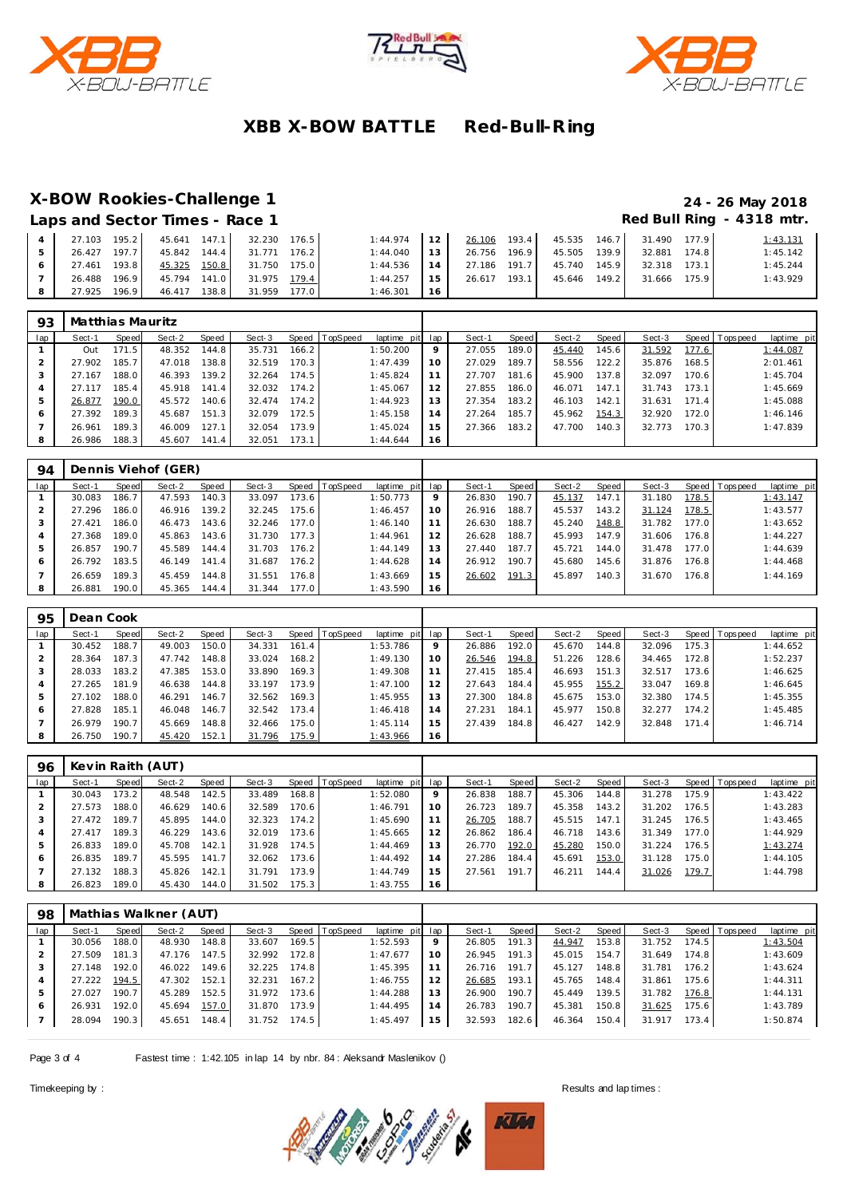





#### **X-BOW Rookies-Challenge 1 24 - 26 May 2018**

|                                | _ . _ _ _                 |
|--------------------------------|---------------------------|
| Laps and Sector Times - Race 1 | Red Bull Ring - 4318 mtr. |

| 27.103 195.2    |                 | 45.641 147.1 32.230 176.5 | 1:44.974 | 12              |              |                 | 26.106 193.4 45.535 146.7 31.490 177.9 | 1:43.131 |
|-----------------|-----------------|---------------------------|----------|-----------------|--------------|-----------------|----------------------------------------|----------|
| 26.427 197.7    | 45.842 144.4    | 31.771 176.2              | 1:44.040 | 13 <sup>1</sup> | 26.756 196.9 | 45.505 139.9    | 32.881<br>174.8                        | 1:45.142 |
| 193.8<br>27.461 | 45.325 150.8    | 31.750<br>175.0           | 1:44.536 | 14 <sup>1</sup> | 27.186 191.7 | 45.740<br>145.9 | 32.318<br>173.1                        | 1:45.244 |
| 196.9<br>26.488 |                 | 45.794 141.0 31.975 179.4 | 1:44.257 | 15              | 26.617 193.1 | 45.646 149.2    | 31.666 175.9                           | 1:43.929 |
| 27.925<br>196.9 | 138.8<br>46.417 | 31.959<br>177.0 l         | 1:46.301 | 16              |              |                 |                                        |          |

| 93  | Matthias Mauritz |       |        |       |        |       |          |                 |         |        |       |        |       |        |       |                |             |
|-----|------------------|-------|--------|-------|--------|-------|----------|-----------------|---------|--------|-------|--------|-------|--------|-------|----------------|-------------|
| lap | Sect-1           | Speed | Sect-2 | Speed | Sect-3 | Speed | TopSpeed | laptime pit lap |         | Sect-1 | Speed | Sect-2 | Speed | Sect-3 |       | Speed Topspeed | laptime pit |
|     | Out              | 171.5 | 48.352 | 144.8 | 35.731 | 166.2 |          | 1:50.200        | $\circ$ | 27.055 | 189.0 | 45.440 | 145.6 | 31.592 | 177.6 |                | 1:44.087    |
|     | 27.902           | 185.7 | 47.018 | 138.8 | 32.519 | 170.3 |          | 1:47.439        | 10      | 27.029 | 189.7 | 58.556 | 122.2 | 35.876 | 168.5 |                | 2:01.461    |
|     | 27.167           | 188.0 | 46.393 | 139.2 | 32.264 | 174.5 |          | 1:45.824        |         | 27.707 | 181.6 | 45.900 | 137.8 | 32.097 | 170.6 |                | 1:45.704    |
| 4   | 27.117           | 185.4 | 45.918 | 141.4 | 32.032 | 174.2 |          | 1:45.067        | 12      | 27.855 | 186.0 | 46.071 | 147.1 | 31.743 | 173.1 |                | 1:45.669    |
| 5   | 26.877           | 190.0 | 45.572 | 140.6 | 32.474 | 174.2 |          | 1:44.923        | 13      | 27.354 | 183.2 | 46.103 | 142.1 | 31.631 | 171.4 |                | 1:45.088    |
| 6   | 27.392           | 189.3 | 45.687 | 151.3 | 32.079 | 172.5 |          | 1:45.158        | 14      | 27.264 | 185.7 | 45.962 | 154.3 | 32.920 | 172.0 |                | 1:46.146    |
|     | 26.961           | 189.3 | 46.009 | 127.1 | 32.054 | 173.9 |          | 1:45.024        | 15      | 27.366 | 183.2 | 47.700 | 140.3 | 32.773 | 170.3 |                | 1:47.839    |
| 8   | 26.986           | 188.3 | 45.607 | 141.4 | 32.051 | 173.1 |          | 1:44.644        | 16      |        |       |        |       |        |       |                |             |

| 94  |        |       | Dennis Viehof (GER) |       |        |       |                |             |     |        |       |        |       |        |       |                 |             |
|-----|--------|-------|---------------------|-------|--------|-------|----------------|-------------|-----|--------|-------|--------|-------|--------|-------|-----------------|-------------|
| lap | Sect-1 | Speed | Sect-2              | Speed | Sect-3 |       | Speed TopSpeed | laptime pit | lap | Sect-1 | Speed | Sect-2 | Speed | Sect-3 |       | Speed Tops peed | laptime pit |
|     | 30.083 | 186.7 | 47.593              | 140.3 | 33.097 | 173.6 |                | 1:50.773    | 9   | 26.830 | 190.7 | 45.137 | 147.1 | 31.180 | 178.5 |                 | 1:43.147    |
|     | 27.296 | 186.0 | 46.916              | 139.2 | 32.245 | 175.6 |                | 1:46.457    | 10  | 26.916 | 188.7 | 45.537 | 143.2 | 31.124 | 178.5 |                 | 1:43.577    |
|     | 27.421 | 186.0 | 46.473              | 143.6 | 32.246 | 177.0 |                | 1:46.140    | 11  | 26.630 | 188.7 | 45.240 | 148.8 | 31.782 | 177.0 |                 | 1:43.652    |
|     | 27.368 | 189.0 | 45.863              | 143.6 | 31.730 | 177.3 |                | 1:44.961    | 12  | 26.628 | 188.7 | 45.993 | 147.9 | 31.606 | 176.8 |                 | 1:44.227    |
| 5   | 26.857 | 190.7 | 45.589              | 144.4 | 31.703 | 176.2 |                | 1:44.149    | 13  | 27.440 | 187.7 | 45.721 | 144.0 | 31.478 | 177.0 |                 | 1:44.639    |
| 6   | 26.792 | 183.5 | 46.149              | 141.4 | 31.687 | 176.2 |                | 1:44.628    | 14  | 26.912 | 190.7 | 45.680 | 145.6 | 31.876 | 176.8 |                 | 1:44.468    |
|     | 26.659 | 189.3 | 45.459              | 144.8 | 31.551 | 176.8 |                | 1:43.669    | 15  | 26.602 | 191.3 | 45.897 | 140.3 | 31.670 | 176.8 |                 | 1:44.169    |
| 8   | 26.881 | 190.0 | 45.365              | 144.4 | 31.344 | 177.0 |                | 1:43.590    | 16  |        |       |        |       |        |       |                 |             |

| 95  | Dean Cook |       |        |       |        |       |          |                 |    |        |       |        |        |        |       |                 |             |
|-----|-----------|-------|--------|-------|--------|-------|----------|-----------------|----|--------|-------|--------|--------|--------|-------|-----------------|-------------|
| lap | Sect-1    | Speed | Sect-2 | Speed | Sect-3 | Speed | TopSpeed | laptime pit lap |    | Sect-1 | Speed | Sect-2 | Speed  | Sect-3 |       | Speed Tops peed | laptime pit |
|     | 30.452    | 188.7 | 49.003 | 150.0 | 34.331 | 161.4 |          | 1:53.786        | 9  | 26.886 | 192.0 | 45.670 | 144.81 | 32.096 | 175.3 |                 | 1:44.652    |
|     | 28.364    | 187.3 | 47.742 | 148.8 | 33.024 | 168.2 |          | 1:49.130        | 10 | 26.546 | 194.8 | 51.226 | 128.6  | 34.465 | 172.8 |                 | 1:52.237    |
|     | 28.033    | 183.2 | 47.385 | 153.0 | 33.890 | 169.3 |          | 1:49.308        |    | 27.415 | 185.4 | 46.693 | 151.3  | 32.517 | 173.6 |                 | 1:46.625    |
|     | 27.265    | 181.9 | 46.638 | 144.8 | 33.197 | 173.9 |          | 1:47.100        | 12 | 27.643 | 184.4 | 45.955 | 155.2  | 33.047 | 169.8 |                 | 1:46.645    |
|     | 27.102    | 188.0 | 46.291 | 146.7 | 32.562 | 169.3 |          | 1:45.955        | 13 | 27.300 | 184.8 | 45.675 | 153.0  | 32.380 | 174.5 |                 | 1:45.355    |
| 6   | 27.828    | 185.1 | 46.048 | 146.7 | 32.542 | 173.4 |          | 1:46.418        | 14 | 27.231 | 184.1 | 45.977 | 150.8  | 32.277 | 174.2 |                 | 1:45.485    |
|     | 26.979    | 190.7 | 45.669 | 148.8 | 32.466 | 175.0 |          | 1:45.114        | 15 | 27.439 | 184.8 | 46.427 | 142.9  | 32.848 | 171.4 |                 | 1:46.714    |
| 8   | 26.750    | 190.7 | 45.420 | 152.1 | 31.796 | 175.9 |          | 1:43.966        | 16 |        |       |        |        |        |       |                 |             |

| 96  | Kevin Raith (AUT) |       |        |       |        |       |          |                 |         |        |       |        |                    |        |       |                |             |
|-----|-------------------|-------|--------|-------|--------|-------|----------|-----------------|---------|--------|-------|--------|--------------------|--------|-------|----------------|-------------|
| lap | Sect-1            | Speed | Sect-2 | Speed | Sect-3 | Speed | TopSpeed | laptime pit lap |         | Sect-1 | Speed | Sect-2 | Speed              | Sect-3 |       | Speed Topspeed | laptime pit |
|     | 30.043            | 173.2 | 48.548 | 142.5 | 33.489 | 168.8 |          | 1:52.080        | $\circ$ | 26.838 | 188.7 | 45.306 | 144.8 <sup>1</sup> | 31.278 | 175.9 |                | 1:43.422    |
|     | 27.573            | 188.0 | 46.629 | 140.6 | 32.589 | 170.6 |          | 1:46.791        | 10      | 26.723 | 189.7 | 45.358 | 143.2              | 31.202 | 176.5 |                | 1:43.283    |
|     | 27.472            | 189.7 | 45.895 | 144.0 | 32.323 | 174.2 |          | 1:45.690        |         | 26.705 | 188.7 | 45.515 | 147.1              | 31.245 | 176.5 |                | 1:43.465    |
| 4   | 27.417            | 189.3 | 46.229 | 143.6 | 32.019 | 173.6 |          | 1:45.665        | 12      | 26.862 | 186.4 | 46.718 | 143.6              | 31.349 | 177.0 |                | 1:44.929    |
| 5   | 26.833            | 189.0 | 45.708 | 142.1 | 31.928 | 174.5 |          | 1:44.469        | 13      | 26.770 | 192.0 | 45.280 | 150.0              | 31.224 | 176.5 |                | 1:43.274    |
| 6   | 26.835            | 189.7 | 45.595 | 141.7 | 32.062 | 173.6 |          | 1:44.492        | 14      | 27.286 | 184.4 | 45.691 | 153.0              | 31.128 | 175.0 |                | 1:44.105    |
|     | 27.132            | 188.3 | 45.826 | 142.1 | 31.791 | 173.9 |          | 1:44.749        | 15      | 27.561 | 191.7 | 46.211 | 144.4              | 31.026 | 179.7 |                | 1:44.798    |
| 8   | 26.823            | 189.0 | 45.430 | 144.0 | 31.502 | 175.3 |          | 1:43.755        | 16      |        |       |        |                    |        |       |                |             |

|        |           |                                                                    | Mathias Walkner (AUT) |        |       |                |    |                 |         |        |       |        |       |                                  |                 |
|--------|-----------|--------------------------------------------------------------------|-----------------------|--------|-------|----------------|----|-----------------|---------|--------|-------|--------|-------|----------------------------------|-----------------|
| Sect-1 |           | Sect-2                                                             | Speed                 | Sect-3 |       |                |    | Sect-1          | Speed I | Sect-2 | Speed | Sect-3 |       |                                  | laptime pit     |
| 30.056 |           | 48.930                                                             | 148.8                 | 33.607 | 169.5 | 1:52.593       | 9  | 26.805          | 191.3   | 44.947 | 153.8 | 31.752 | 174.5 |                                  | 1:43.504        |
| 27.509 | $\cdot$ 3 | 47.176                                                             | 147.5                 | 32.992 | 172.8 | 1:47.677       | 10 | 26.945          | 191.3   | 45.015 | 154.7 | 31.649 |       |                                  | 1:43.609        |
| 27.148 |           | 46.022                                                             | 149.6 <sub>1</sub>    | 32.225 | 174.8 | 1:45.395       |    | 26.716          | 191.7   | 45.127 | 148.8 | 31.781 | 176.2 |                                  | 1:43.624        |
| 27.222 |           | 47.302                                                             | 152.1                 | 32.231 | 167.2 | 1:46.755       | 12 | 26.685          | 193.1   | 45.765 | 148.4 | 31.861 |       |                                  | 1:44.311        |
| 27.027 |           | 45.289                                                             | 152.5                 | 31.972 | 173.6 | 1:44.288       | 13 | 26.900          | 190.7   | 45.449 | 139.5 | 31.782 |       |                                  | 1:44.131        |
| 26.931 |           | 45.694                                                             | 157.0                 | 31.870 | 173.9 | 1:44.495       | 14 | 26.783          | 190.7   | 45.381 | 150.8 | 31.625 | 175.6 |                                  | 1:43.789        |
| 28.094 |           | 45.651                                                             | 148.4                 | 31.752 | 174.5 | 1:45.497       | 15 | 32.593          | 182.6   | 46.364 | 150.4 | 31.917 |       |                                  | 1:50.874        |
|        |           | Speed<br>188.0<br>181<br>192.0<br>194.5<br>190.7<br>192.0<br>190.3 |                       |        |       | Speed TopSpeed |    | laptime pit lap |         |        |       |        |       | 174.8<br>175.6<br>176.8<br>173.4 | Speed Tops peed |

Page 3 of 4 Fastest time : 1:42.105 in lap 14 by nbr. 84 : Aleksandr Maslenikov ()